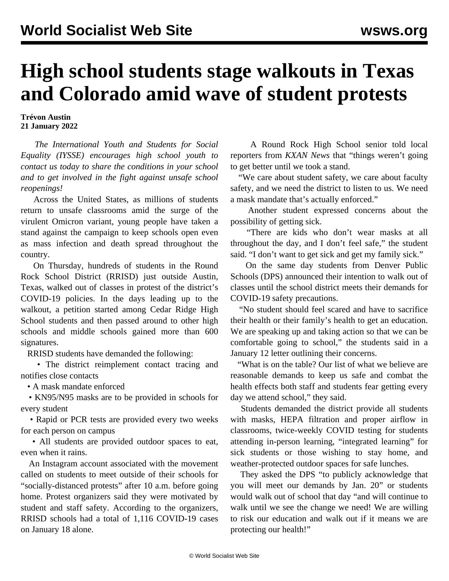## **High school students stage walkouts in Texas and Colorado amid wave of student protests**

**Trévon Austin 21 January 2022**

 *The [International Youth and Students for Social](/en/special/pages/iysse/about.html) [Equality \(IYSSE\)](/en/special/pages/iysse/about.html) encourages high school youth to contact us today to share the conditions in your school and to get involved in the fight against unsafe school reopenings!*

 Across the United States, as millions of students return to unsafe classrooms amid the surge of the virulent Omicron variant, young people have taken a stand against the campaign to keep schools open even as mass infection and death spread throughout the country.

 On Thursday, hundreds of students in the Round Rock School District (RRISD) just outside Austin, Texas, walked out of classes in protest of the district's COVID-19 policies. In the days leading up to the walkout, a petition started among Cedar Ridge High School students and then passed around to other high schools and middle schools gained more than 600 signatures.

RRISD students have demanded the following:

 • The district reimplement contact tracing and notifies close contacts

• A mask mandate enforced

 • KN95/N95 masks are to be provided in schools for every student

 • Rapid or PCR tests are provided every two weeks for each person on campus

 • All students are provided outdoor spaces to eat, even when it rains.

 An Instagram account associated with the movement called on students to meet outside of their schools for "socially-distanced protests" after 10 a.m. before going home. Protest organizers said they were motivated by student and staff safety. According to the organizers, RRISD schools had a total of 1,116 COVID-19 cases on January 18 alone.

 A Round Rock High School senior told local reporters from *KXAN News* that "things weren't going to get better until we took a stand.

 "We care about student safety, we care about faculty safety, and we need the district to listen to us. We need a mask mandate that's actually enforced."

 Another student expressed concerns about the possibility of getting sick.

 "There are kids who don't wear masks at all throughout the day, and I don't feel safe," the student said. "I don't want to get sick and get my family sick."

 On the same day students from Denver Public Schools (DPS) announced their intention to walk out of classes until the school district meets their demands for COVID-19 safety precautions.

 "No student should feel scared and have to sacrifice their health or their family's health to get an education. We are speaking up and taking action so that we can be comfortable going to school," the students said in a January 12 letter outlining their concerns.

 "What is on the table? Our list of what we believe are reasonable demands to keep us safe and combat the health effects both staff and students fear getting every day we attend school," they said.

 Students demanded the district provide all students with masks, HEPA filtration and proper airflow in classrooms, twice-weekly COVID testing for students attending in-person learning, "integrated learning" for sick students or those wishing to stay home, and weather-protected outdoor spaces for safe lunches.

 They asked the DPS "to publicly acknowledge that you will meet our demands by Jan. 20" or students would walk out of school that day "and will continue to walk until we see the change we need! We are willing to risk our education and walk out if it means we are protecting our health!"